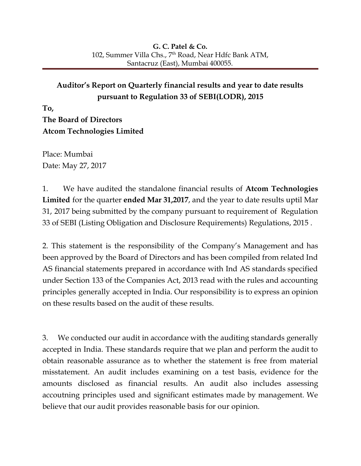## **Auditor's Report on Quarterly financial results and year to date results pursuant to Regulation 33 of SEBI(LODR), 2015**

**To,**

## **The Board of Directors Atcom Technologies Limited**

Place: Mumbai Date: May 27, 2017

1. We have audited the standalone financial results of **Atcom Technologies Limited** for the quarter **ended Mar 31,2017**, and the year to date results uptil Mar 31, 2017 being submitted by the company pursuant to requirement of Regulation 33 of SEBI (Listing Obligation and Disclosure Requirements) Regulations, 2015 .

2. This statement is the responsibility of the Company's Management and has been approved by the Board of Directors and has been compiled from related Ind AS financial statements prepared in accordance with Ind AS standards specified under Section 133 of the Companies Act, 2013 read with the rules and accounting principles generally accepted in India. Our responsibility is to express an opinion on these results based on the audit of these results.

3. We conducted our audit in accordance with the auditing standards generally accepted in India. These standards require that we plan and perform the audit to obtain reasonable assurance as to whether the statement is free from material misstatement. An audit includes examining on a test basis, evidence for the amounts disclosed as financial results. An audit also includes assessing accoutning principles used and significant estimates made by management. We believe that our audit provides reasonable basis for our opinion.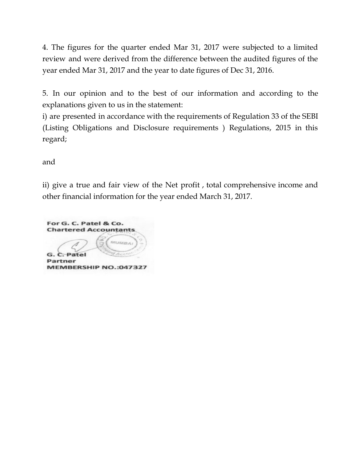4. The figures for the quarter ended Mar 31, 2017 were subjected to a limited review and were derived from the difference between the audited figures of the year ended Mar 31, 2017 and the year to date figures of Dec 31, 2016.

5. In our opinion and to the best of our information and according to the explanations given to us in the statement:

i) are presented in accordance with the requirements of Regulation 33 of the SEBI (Listing Obligations and Disclosure requirements ) Regulations, 2015 in this regard;

and

ii) give a true and fair view of the Net profit , total comprehensive income and other financial information for the year ended March 31, 2017.

For G. C. Patel & Co. **Chartered Accountants MUMBAI** Partner MEMBERSHIP NO.:047327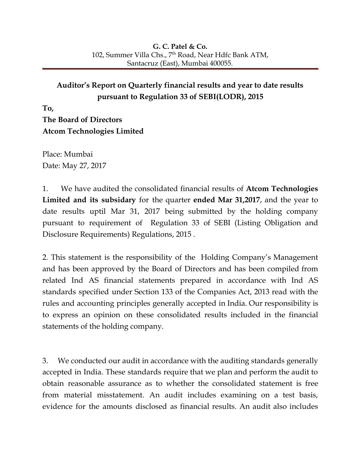## **Auditor's Report on Quarterly financial results and year to date results pursuant to Regulation 33 of SEBI(LODR), 2015**

**To,**

## **The Board of Directors Atcom Technologies Limited**

Place: Mumbai Date: May 27, 2017

1. We have audited the consolidated financial results of **Atcom Technologies Limited and its subsidary** for the quarter **ended Mar 31,2017**, and the year to date results uptil Mar 31, 2017 being submitted by the holding company pursuant to requirement of Regulation 33 of SEBI (Listing Obligation and Disclosure Requirements) Regulations, 2015 .

2. This statement is the responsibility of the Holding Company's Management and has been approved by the Board of Directors and has been compiled from related Ind AS financial statements prepared in accordance with Ind AS standards specified under Section 133 of the Companies Act, 2013 read with the rules and accounting principles generally accepted in India. Our responsibility is to express an opinion on these consolidated results included in the financial statements of the holding company.

3. We conducted our audit in accordance with the auditing standards generally accepted in India. These standards require that we plan and perform the audit to obtain reasonable assurance as to whether the consolidated statement is free from material misstatement. An audit includes examining on a test basis, evidence for the amounts disclosed as financial results. An audit also includes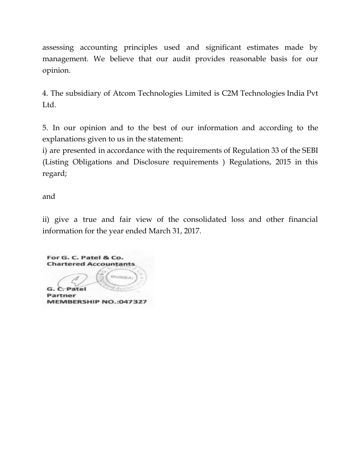assessing accounting principles used and significant estimates made by management. We believe that our audit provides reasonable basis for our opinion.

4. The subsidiary of Atcom Technologies Limited is C2M Technologies India Pvt Ltd.

5. In our opinion and to the best of our information and according to the explanations given to us in the statement:

i) are presented in accordance with the requirements of Regulation 33 of the SEBI (Listing Obligations and Disclosure requirements ) Regulations, 2015 in this regard;

and

ii) give a true and fair view of the consolidated loss and other financial information for the year ended March 31, 2017.

For G. C. Patel & Co. **Chartered Accountants PELIMBA** G. C. Patel Partner MEMBERSHIP NO.:047327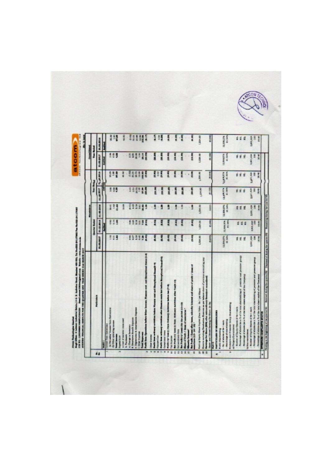| ٠<br>清菜<br><b>WW</b><br>턬<br>暖房<br><b>Risk</b><br>龍<br>医切片<br><b>SER</b><br>SH <sub>3</sub><br>ä<br>324.00<br><b>Separa</b><br>医气体性病<br>ŝ<br>博物<br>医生<br><b>MARKET</b><br>15.45<br>Î<br>Î<br>计算<br>đ<br>å<br>11.01.3016<br><b>Antibat</b><br>J<br>Trace Busied<br>135<br>書面<br>西北縣<br>ŝ<br>ij<br>H<br><b>HIRE</b><br>a a<br>医腹<br>i<br><b>MAS</b><br>12,649,515<br>ã<br>å<br>55.65<br><b>TIGGET</b><br>i<br>受受<br>医间周<br>E<br>医型<br><b>ALLES</b><br>륒<br>Ħ<br>Ē<br><b>MARINE PLASTER</b><br>11<br>夜の<br>医心房<br>加加<br>羂<br>B.B<br>I<br>Į<br>電話<br>ട്ട<br>š<br>i<br>i<br>医舌<br>12,974,676<br>š<br><b>AL BON</b><br>1,81,48<br>Ħ<br>$\blacksquare$<br>ý.<br>$\tau$<br>륒<br>更<br>San Brita<br>115<br>ä<br>医三重<br>E<br>酮<br><b>第2章</b><br><b>START</b><br>i<br>馬馬<br>Ĩ<br>喜马<br>į<br>61 km<br>さんには<br>$\frac{8}{3}$<br>18.46<br>i<br>i<br>里区<br>э<br>14d<br>41.44.2004<br>医前<br>書<br>î<br>I<br>E.S<br>Į<br>ä<br>Ï<br>Ą<br>ŧ<br>ā<br>Ŝ<br>Ľ<br>5449<br>11,908,375<br>ŝ<br><b>B</b><br>医舌鸟<br>1491.424<br><b>M 54</b><br>ı<br>d d<br>×<br><b>Business</b><br><b>PIRETTIE AIRPORT</b><br>994<br>1115<br>š<br>E<br><b>RAN</b><br>I<br>22, 638, 679<br>星<br>Î<br><b>MAR</b><br>3,88,436<br>ă<br>222<br>Ĭ<br>ŀ<br>I<br>383<br>8988<br>G.H.<br>Ã<br>12,999,5%<br>ş<br>星星<br>医红斑<br>医生理<br><b>TENST</b><br>1<br>뙱<br>톱<br>as ses<br><b>MAILAN</b><br>ł<br># # #<br><b>The CI-R</b><br>steed reason per advertise of the season research of the season and homes also<br>Bearing <b>A</b><br>accounting page<br>front accessed you appeared in frequencies, rue and is the world of officiency<br><b>Lakes Please sent us 4 Beauvillence House!</b> - 4<br>artist interest and share at gooth / down of<br>when Other Second Pressure cost and Benedicted<br>Promoting of shares (in a N.z) the telul share replied of the Company<br><b>Mark Septimes</b><br>Antibiotical Indians has [T+0]<br><b>FMSS-FMAX</b><br>ā<br>ä<br>Number of Squitp Charge of the 14425<br>- NUMBER of States States of the 1 model<br>(a) Net sales/ Swane from Operations<br>air and Diseast Earning Dir Gues<br>a of Profit / Sum of senotene<br>4 Replayers Bookly Expense<br><b>NOW If INVESTIGATION</b><br>16 se<br><b>By Other operating</b><br>sites to be<br><b>Risk director</b><br><b>BASE ENGINEERS</b><br><b>KOngelale</b><br>Ì<br>Ĩ<br>į<br>Ī<br>š<br>š | Ingl Office: A Library Industrial Resource & Audrition Start, Musical 400 COL To ProCOD SHIFTERS For Recordship (1968)<br>Inclusion Hilder/guiling Week / Weissensch<br>VIRTUES PRAISCAL MENULTS FOR THE QUARTER GOD THAN BEEN IN MARCH SHIP<br>CS 93. LINGWAY 400FLC04034 |       |       |      | atoom | ateach lechnologies in<br>ã |
|------------------------------------------------------------------------------------------------------------------------------------------------------------------------------------------------------------------------------------------------------------------------------------------------------------------------------------------------------------------------------------------------------------------------------------------------------------------------------------------------------------------------------------------------------------------------------------------------------------------------------------------------------------------------------------------------------------------------------------------------------------------------------------------------------------------------------------------------------------------------------------------------------------------------------------------------------------------------------------------------------------------------------------------------------------------------------------------------------------------------------------------------------------------------------------------------------------------------------------------------------------------------------------------------------------------------------------------------------------------------------------------------------------------------------------------------------------------------------------------------------------------------------------------------------------------------------------------------------------------------------------------------------------------------------------------------------------------------------------------------------------------------------------------------------------------------------------------------------------------------------------------------------------------------------------------------------------------------------------------------------------------------------------------------------------------------------------------------------------------------------------------------------------------------------------------------------------------------------------------------------------------------------------------------------------------------------------|----------------------------------------------------------------------------------------------------------------------------------------------------------------------------------------------------------------------------------------------------------------------------|-------|-------|------|-------|-----------------------------|
|                                                                                                                                                                                                                                                                                                                                                                                                                                                                                                                                                                                                                                                                                                                                                                                                                                                                                                                                                                                                                                                                                                                                                                                                                                                                                                                                                                                                                                                                                                                                                                                                                                                                                                                                                                                                                                                                                                                                                                                                                                                                                                                                                                                                                                                                                                                                    |                                                                                                                                                                                                                                                                            |       |       |      |       |                             |
|                                                                                                                                                                                                                                                                                                                                                                                                                                                                                                                                                                                                                                                                                                                                                                                                                                                                                                                                                                                                                                                                                                                                                                                                                                                                                                                                                                                                                                                                                                                                                                                                                                                                                                                                                                                                                                                                                                                                                                                                                                                                                                                                                                                                                                                                                                                                    |                                                                                                                                                                                                                                                                            |       |       |      |       |                             |
| Renow metaling Needmins Renown as per intense starrt of privious<br>Barnings For those (80%) often entrumbourg bannels of councils<br>THE FIRST FOI SOMETIME ONE WAY ARRAIGH AFTER TWOP LIS<br>Park up liquity Knows Capacit (Finox Value - Re ) per Manuel<br>Not Product and the the period (11-12)<br>Total or the second control of the state<br>Not FreeB. / (Lease) after teams, and<br>Product only Lines (1) Days Continues<br>- Perceive stresses below<br>- No. of wherever of the 1 month<br>PARTICULARE OF SEAS<br>of Project Estatistics<br>Point Kinnerstown<br><b>SE Mins expressioned</b><br><b>Carmen ment</b> times<br>Prodit from an<br>Profit Scott<br>Finance Card<br>THE ELEMENT<br><b>Report for</b><br>į                                                                                                                                                                                                                                                                                                                                                                                                                                                                                                                                                                                                                                                                                                                                                                                                                                                                                                                                                                                                                                                                                                                                                                                                                                                                                                                                                                                                                                                                                                                                                                                                   |                                                                                                                                                                                                                                                                            |       |       |      |       |                             |
|                                                                                                                                                                                                                                                                                                                                                                                                                                                                                                                                                                                                                                                                                                                                                                                                                                                                                                                                                                                                                                                                                                                                                                                                                                                                                                                                                                                                                                                                                                                                                                                                                                                                                                                                                                                                                                                                                                                                                                                                                                                                                                                                                                                                                                                                                                                                    |                                                                                                                                                                                                                                                                            |       |       |      |       |                             |
|                                                                                                                                                                                                                                                                                                                                                                                                                                                                                                                                                                                                                                                                                                                                                                                                                                                                                                                                                                                                                                                                                                                                                                                                                                                                                                                                                                                                                                                                                                                                                                                                                                                                                                                                                                                                                                                                                                                                                                                                                                                                                                                                                                                                                                                                                                                                    |                                                                                                                                                                                                                                                                            |       |       |      |       |                             |
|                                                                                                                                                                                                                                                                                                                                                                                                                                                                                                                                                                                                                                                                                                                                                                                                                                                                                                                                                                                                                                                                                                                                                                                                                                                                                                                                                                                                                                                                                                                                                                                                                                                                                                                                                                                                                                                                                                                                                                                                                                                                                                                                                                                                                                                                                                                                    |                                                                                                                                                                                                                                                                            |       |       |      |       |                             |
|                                                                                                                                                                                                                                                                                                                                                                                                                                                                                                                                                                                                                                                                                                                                                                                                                                                                                                                                                                                                                                                                                                                                                                                                                                                                                                                                                                                                                                                                                                                                                                                                                                                                                                                                                                                                                                                                                                                                                                                                                                                                                                                                                                                                                                                                                                                                    |                                                                                                                                                                                                                                                                            |       |       |      |       |                             |
|                                                                                                                                                                                                                                                                                                                                                                                                                                                                                                                                                                                                                                                                                                                                                                                                                                                                                                                                                                                                                                                                                                                                                                                                                                                                                                                                                                                                                                                                                                                                                                                                                                                                                                                                                                                                                                                                                                                                                                                                                                                                                                                                                                                                                                                                                                                                    |                                                                                                                                                                                                                                                                            |       |       |      |       |                             |
|                                                                                                                                                                                                                                                                                                                                                                                                                                                                                                                                                                                                                                                                                                                                                                                                                                                                                                                                                                                                                                                                                                                                                                                                                                                                                                                                                                                                                                                                                                                                                                                                                                                                                                                                                                                                                                                                                                                                                                                                                                                                                                                                                                                                                                                                                                                                    |                                                                                                                                                                                                                                                                            |       |       |      |       |                             |
|                                                                                                                                                                                                                                                                                                                                                                                                                                                                                                                                                                                                                                                                                                                                                                                                                                                                                                                                                                                                                                                                                                                                                                                                                                                                                                                                                                                                                                                                                                                                                                                                                                                                                                                                                                                                                                                                                                                                                                                                                                                                                                                                                                                                                                                                                                                                    |                                                                                                                                                                                                                                                                            |       |       |      |       |                             |
|                                                                                                                                                                                                                                                                                                                                                                                                                                                                                                                                                                                                                                                                                                                                                                                                                                                                                                                                                                                                                                                                                                                                                                                                                                                                                                                                                                                                                                                                                                                                                                                                                                                                                                                                                                                                                                                                                                                                                                                                                                                                                                                                                                                                                                                                                                                                    |                                                                                                                                                                                                                                                                            |       |       |      |       |                             |
|                                                                                                                                                                                                                                                                                                                                                                                                                                                                                                                                                                                                                                                                                                                                                                                                                                                                                                                                                                                                                                                                                                                                                                                                                                                                                                                                                                                                                                                                                                                                                                                                                                                                                                                                                                                                                                                                                                                                                                                                                                                                                                                                                                                                                                                                                                                                    |                                                                                                                                                                                                                                                                            |       |       |      |       |                             |
|                                                                                                                                                                                                                                                                                                                                                                                                                                                                                                                                                                                                                                                                                                                                                                                                                                                                                                                                                                                                                                                                                                                                                                                                                                                                                                                                                                                                                                                                                                                                                                                                                                                                                                                                                                                                                                                                                                                                                                                                                                                                                                                                                                                                                                                                                                                                    |                                                                                                                                                                                                                                                                            |       |       |      |       |                             |
|                                                                                                                                                                                                                                                                                                                                                                                                                                                                                                                                                                                                                                                                                                                                                                                                                                                                                                                                                                                                                                                                                                                                                                                                                                                                                                                                                                                                                                                                                                                                                                                                                                                                                                                                                                                                                                                                                                                                                                                                                                                                                                                                                                                                                                                                                                                                    |                                                                                                                                                                                                                                                                            |       |       |      |       |                             |
|                                                                                                                                                                                                                                                                                                                                                                                                                                                                                                                                                                                                                                                                                                                                                                                                                                                                                                                                                                                                                                                                                                                                                                                                                                                                                                                                                                                                                                                                                                                                                                                                                                                                                                                                                                                                                                                                                                                                                                                                                                                                                                                                                                                                                                                                                                                                    |                                                                                                                                                                                                                                                                            |       |       |      |       |                             |
|                                                                                                                                                                                                                                                                                                                                                                                                                                                                                                                                                                                                                                                                                                                                                                                                                                                                                                                                                                                                                                                                                                                                                                                                                                                                                                                                                                                                                                                                                                                                                                                                                                                                                                                                                                                                                                                                                                                                                                                                                                                                                                                                                                                                                                                                                                                                    |                                                                                                                                                                                                                                                                            |       |       |      |       |                             |
|                                                                                                                                                                                                                                                                                                                                                                                                                                                                                                                                                                                                                                                                                                                                                                                                                                                                                                                                                                                                                                                                                                                                                                                                                                                                                                                                                                                                                                                                                                                                                                                                                                                                                                                                                                                                                                                                                                                                                                                                                                                                                                                                                                                                                                                                                                                                    |                                                                                                                                                                                                                                                                            |       |       |      |       |                             |
|                                                                                                                                                                                                                                                                                                                                                                                                                                                                                                                                                                                                                                                                                                                                                                                                                                                                                                                                                                                                                                                                                                                                                                                                                                                                                                                                                                                                                                                                                                                                                                                                                                                                                                                                                                                                                                                                                                                                                                                                                                                                                                                                                                                                                                                                                                                                    |                                                                                                                                                                                                                                                                            |       |       |      |       |                             |
|                                                                                                                                                                                                                                                                                                                                                                                                                                                                                                                                                                                                                                                                                                                                                                                                                                                                                                                                                                                                                                                                                                                                                                                                                                                                                                                                                                                                                                                                                                                                                                                                                                                                                                                                                                                                                                                                                                                                                                                                                                                                                                                                                                                                                                                                                                                                    |                                                                                                                                                                                                                                                                            |       |       |      |       |                             |
|                                                                                                                                                                                                                                                                                                                                                                                                                                                                                                                                                                                                                                                                                                                                                                                                                                                                                                                                                                                                                                                                                                                                                                                                                                                                                                                                                                                                                                                                                                                                                                                                                                                                                                                                                                                                                                                                                                                                                                                                                                                                                                                                                                                                                                                                                                                                    |                                                                                                                                                                                                                                                                            |       |       |      |       |                             |
|                                                                                                                                                                                                                                                                                                                                                                                                                                                                                                                                                                                                                                                                                                                                                                                                                                                                                                                                                                                                                                                                                                                                                                                                                                                                                                                                                                                                                                                                                                                                                                                                                                                                                                                                                                                                                                                                                                                                                                                                                                                                                                                                                                                                                                                                                                                                    |                                                                                                                                                                                                                                                                            |       |       |      |       |                             |
|                                                                                                                                                                                                                                                                                                                                                                                                                                                                                                                                                                                                                                                                                                                                                                                                                                                                                                                                                                                                                                                                                                                                                                                                                                                                                                                                                                                                                                                                                                                                                                                                                                                                                                                                                                                                                                                                                                                                                                                                                                                                                                                                                                                                                                                                                                                                    |                                                                                                                                                                                                                                                                            |       |       |      |       |                             |
|                                                                                                                                                                                                                                                                                                                                                                                                                                                                                                                                                                                                                                                                                                                                                                                                                                                                                                                                                                                                                                                                                                                                                                                                                                                                                                                                                                                                                                                                                                                                                                                                                                                                                                                                                                                                                                                                                                                                                                                                                                                                                                                                                                                                                                                                                                                                    |                                                                                                                                                                                                                                                                            |       |       |      |       |                             |
|                                                                                                                                                                                                                                                                                                                                                                                                                                                                                                                                                                                                                                                                                                                                                                                                                                                                                                                                                                                                                                                                                                                                                                                                                                                                                                                                                                                                                                                                                                                                                                                                                                                                                                                                                                                                                                                                                                                                                                                                                                                                                                                                                                                                                                                                                                                                    |                                                                                                                                                                                                                                                                            |       |       |      |       |                             |
|                                                                                                                                                                                                                                                                                                                                                                                                                                                                                                                                                                                                                                                                                                                                                                                                                                                                                                                                                                                                                                                                                                                                                                                                                                                                                                                                                                                                                                                                                                                                                                                                                                                                                                                                                                                                                                                                                                                                                                                                                                                                                                                                                                                                                                                                                                                                    |                                                                                                                                                                                                                                                                            |       |       |      |       |                             |
|                                                                                                                                                                                                                                                                                                                                                                                                                                                                                                                                                                                                                                                                                                                                                                                                                                                                                                                                                                                                                                                                                                                                                                                                                                                                                                                                                                                                                                                                                                                                                                                                                                                                                                                                                                                                                                                                                                                                                                                                                                                                                                                                                                                                                                                                                                                                    |                                                                                                                                                                                                                                                                            |       |       |      |       |                             |
|                                                                                                                                                                                                                                                                                                                                                                                                                                                                                                                                                                                                                                                                                                                                                                                                                                                                                                                                                                                                                                                                                                                                                                                                                                                                                                                                                                                                                                                                                                                                                                                                                                                                                                                                                                                                                                                                                                                                                                                                                                                                                                                                                                                                                                                                                                                                    |                                                                                                                                                                                                                                                                            |       |       |      |       |                             |
|                                                                                                                                                                                                                                                                                                                                                                                                                                                                                                                                                                                                                                                                                                                                                                                                                                                                                                                                                                                                                                                                                                                                                                                                                                                                                                                                                                                                                                                                                                                                                                                                                                                                                                                                                                                                                                                                                                                                                                                                                                                                                                                                                                                                                                                                                                                                    |                                                                                                                                                                                                                                                                            |       |       |      |       |                             |
|                                                                                                                                                                                                                                                                                                                                                                                                                                                                                                                                                                                                                                                                                                                                                                                                                                                                                                                                                                                                                                                                                                                                                                                                                                                                                                                                                                                                                                                                                                                                                                                                                                                                                                                                                                                                                                                                                                                                                                                                                                                                                                                                                                                                                                                                                                                                    |                                                                                                                                                                                                                                                                            |       |       |      |       |                             |
|                                                                                                                                                                                                                                                                                                                                                                                                                                                                                                                                                                                                                                                                                                                                                                                                                                                                                                                                                                                                                                                                                                                                                                                                                                                                                                                                                                                                                                                                                                                                                                                                                                                                                                                                                                                                                                                                                                                                                                                                                                                                                                                                                                                                                                                                                                                                    |                                                                                                                                                                                                                                                                            |       |       |      |       |                             |
|                                                                                                                                                                                                                                                                                                                                                                                                                                                                                                                                                                                                                                                                                                                                                                                                                                                                                                                                                                                                                                                                                                                                                                                                                                                                                                                                                                                                                                                                                                                                                                                                                                                                                                                                                                                                                                                                                                                                                                                                                                                                                                                                                                                                                                                                                                                                    |                                                                                                                                                                                                                                                                            |       |       |      |       |                             |
|                                                                                                                                                                                                                                                                                                                                                                                                                                                                                                                                                                                                                                                                                                                                                                                                                                                                                                                                                                                                                                                                                                                                                                                                                                                                                                                                                                                                                                                                                                                                                                                                                                                                                                                                                                                                                                                                                                                                                                                                                                                                                                                                                                                                                                                                                                                                    |                                                                                                                                                                                                                                                                            |       |       |      |       |                             |
|                                                                                                                                                                                                                                                                                                                                                                                                                                                                                                                                                                                                                                                                                                                                                                                                                                                                                                                                                                                                                                                                                                                                                                                                                                                                                                                                                                                                                                                                                                                                                                                                                                                                                                                                                                                                                                                                                                                                                                                                                                                                                                                                                                                                                                                                                                                                    |                                                                                                                                                                                                                                                                            |       |       |      |       |                             |
|                                                                                                                                                                                                                                                                                                                                                                                                                                                                                                                                                                                                                                                                                                                                                                                                                                                                                                                                                                                                                                                                                                                                                                                                                                                                                                                                                                                                                                                                                                                                                                                                                                                                                                                                                                                                                                                                                                                                                                                                                                                                                                                                                                                                                                                                                                                                    |                                                                                                                                                                                                                                                                            |       |       |      |       |                             |
|                                                                                                                                                                                                                                                                                                                                                                                                                                                                                                                                                                                                                                                                                                                                                                                                                                                                                                                                                                                                                                                                                                                                                                                                                                                                                                                                                                                                                                                                                                                                                                                                                                                                                                                                                                                                                                                                                                                                                                                                                                                                                                                                                                                                                                                                                                                                    |                                                                                                                                                                                                                                                                            |       |       |      |       |                             |
|                                                                                                                                                                                                                                                                                                                                                                                                                                                                                                                                                                                                                                                                                                                                                                                                                                                                                                                                                                                                                                                                                                                                                                                                                                                                                                                                                                                                                                                                                                                                                                                                                                                                                                                                                                                                                                                                                                                                                                                                                                                                                                                                                                                                                                                                                                                                    |                                                                                                                                                                                                                                                                            |       |       |      |       |                             |
|                                                                                                                                                                                                                                                                                                                                                                                                                                                                                                                                                                                                                                                                                                                                                                                                                                                                                                                                                                                                                                                                                                                                                                                                                                                                                                                                                                                                                                                                                                                                                                                                                                                                                                                                                                                                                                                                                                                                                                                                                                                                                                                                                                                                                                                                                                                                    | Processings of schools like 4 % of the total stace capital of the Company                                                                                                                                                                                                  | 38.00 | 15.45 | 2,40 | 新型    |                             |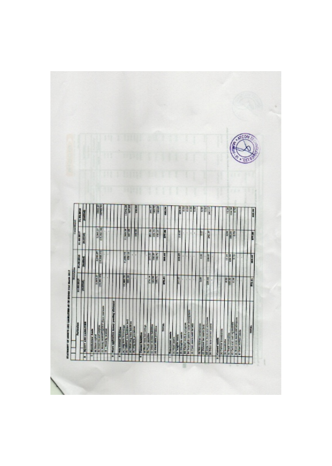| 91.90.90<br>31411311 | <b>Budited</b> | <b>SAST</b>                                       |     |                                                                                                                                                                                                                                                                                                                                                                                    | 目玉<br>Ē<br>11,944.28<br><b>HETAR</b> | ä          | TROP | <b>RITAS</b> | R<br>109.15 | Ë<br><b>LEST</b> | まる<br><b>Barried</b> |  | 目目<br>Ī          | B<br>g | e                                                                                                                                                                                                                                                                                                                                                                                           | 0<br>$\ddot{\phantom{a}}$ | ß      | 8,00<br><b>DAILY</b><br><b>TELER</b> |   |   | Ě<br>104.34<br>þ<br><b>REAL</b> | B<br>þ  |   | 402.44<br><b>HEAL</b>      |
|----------------------|----------------|---------------------------------------------------|-----|------------------------------------------------------------------------------------------------------------------------------------------------------------------------------------------------------------------------------------------------------------------------------------------------------------------------------------------------------------------------------------|--------------------------------------|------------|------|--------------|-------------|------------------|----------------------|--|------------------|--------|---------------------------------------------------------------------------------------------------------------------------------------------------------------------------------------------------------------------------------------------------------------------------------------------------------------------------------------------------------------------------------------------|---------------------------|--------|--------------------------------------|---|---|---------------------------------|---------|---|----------------------------|
| <b>SI 22 Sept</b>    |                | <b>TOWER</b><br><b>INSTALLER</b><br><b>PERSIT</b> |     |                                                                                                                                                                                                                                                                                                                                                                                    | TEXAS 75<br>100910                   | $\epsilon$ |      | 1970         | TRETT<br>請  | 医深               | ma 44<br>Ì           |  | <b>Rail</b><br>É | ٠      | ٠                                                                                                                                                                                                                                                                                                                                                                                           |                           | ā<br>Þ | $\frac{1}{1000}$<br>200.45           | ı | þ | HERE.<br>126.50                 | 花生<br>E |   | <b>HEART</b><br><b>FRA</b> |
| 184.661<br>ł         | I              |                                                   | a ä | $\begin{tabular}{ c c } \hline 1 & flow & g\overline{g} & flow & g\overline{g} & flow & g\overline{g} & \\ \hline 1 & 0 & 0 & 0 & 0 & 0 \\ \hline 2 & 0 & 0 & 0 & 0 & 0 \\ \hline 3 & 0 & 0 & 0 & 0 & 0 \\ \hline 4 & 0 & 0 & 0 & 0 & 0 \\ \hline 5 & 0 & 0 & 0 & 0 & 0 \\ \hline 6 & 0 & 0 & 0 & 0 & 0 \\ \hline 7 & 0 & 0 & 0 & 0 & 0 \\ \hline 8 & 0 & 0 & 0 & 0 & 0 \\ \hline$ |                                      |            |      |              |             |                  | ŧ<br> E              |  |                  |        | h<br>$\begin{tabular}{ c c c c } \hline & $M_{\rm{BH}}$ & $M_{\rm{BH}}$ & $M_{\rm{BH}}$ & $M_{\rm{BH}}$ \\ \hline \hline & $M_{\rm{BH}}$ & $M_{\rm{BH}}$ & $M_{\rm{BH}}$ \\ \hline & $M_{\rm{BH}}$ & $M_{\rm{BH}}$ & $M_{\rm{BH}}$ \\ \hline & $M_{\rm{BH}}$ & $M_{\rm{BH}}$ & $M_{\rm{BH}}$ & $M_{\rm{BH}}$ \\ \hline & $M_{\rm{BH}}$ & $M_{\rm{BH}}$ & $M_{\rm{BH}}$ & $M_{\rm{BH}}$ & $$ |                           |        |                                      |   |   |                                 |         | Ŀ | E<br>$\frac{1}{2}$         |